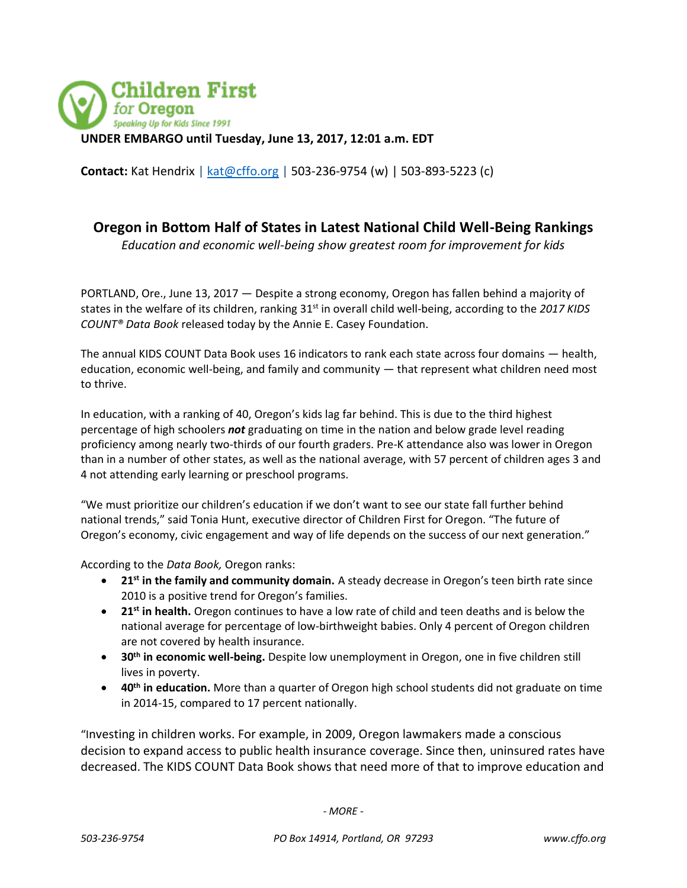

**Contact:** Kat Hendrix [| kat@cffo.org](mailto:kat@cffo.org) | 503-236-9754 (w) | 503-893-5223 (c)

## **Oregon in Bottom Half of States in Latest National Child Well-Being Rankings**

*Education and economic well-being show greatest room for improvement for kids*

PORTLAND, Ore., June 13, 2017 — Despite a strong economy, Oregon has fallen behind a majority of states in the welfare of its children, ranking 31<sup>st</sup> in overall child well-being, according to the 2017 KIDS *COUNT® Data Book* released today by the Annie E. Casey Foundation.

The annual KIDS COUNT Data Book uses 16 indicators to rank each state across four domains — health, education, economic well-being, and family and community — that represent what children need most to thrive.

In education, with a ranking of 40, Oregon's kids lag far behind. This is due to the third highest percentage of high schoolers *not* graduating on time in the nation and below grade level reading proficiency among nearly two-thirds of our fourth graders. Pre-K attendance also was lower in Oregon than in a number of other states, as well as the national average, with 57 percent of children ages 3 and 4 not attending early learning or preschool programs.

"We must prioritize our children's education if we don't want to see our state fall further behind national trends," said Tonia Hunt, executive director of Children First for Oregon. "The future of Oregon's economy, civic engagement and way of life depends on the success of our next generation."

According to the *Data Book,* Oregon ranks:

- **21st in the family and community domain.** A steady decrease in Oregon's teen birth rate since 2010 is a positive trend for Oregon's families.
- **21st in health.** Oregon continues to have a low rate of child and teen deaths and is below the national average for percentage of low-birthweight babies. Only 4 percent of Oregon children are not covered by health insurance.
- **30th in economic well-being.** Despite low unemployment in Oregon, one in five children still lives in poverty.
- **40th in education.** More than a quarter of Oregon high school students did not graduate on time in 2014-15, compared to 17 percent nationally.

"Investing in children works. For example, in 2009, Oregon lawmakers made a conscious decision to expand access to public health insurance coverage. Since then, uninsured rates have decreased. The KIDS COUNT Data Book shows that need more of that to improve education and

*- MORE -*